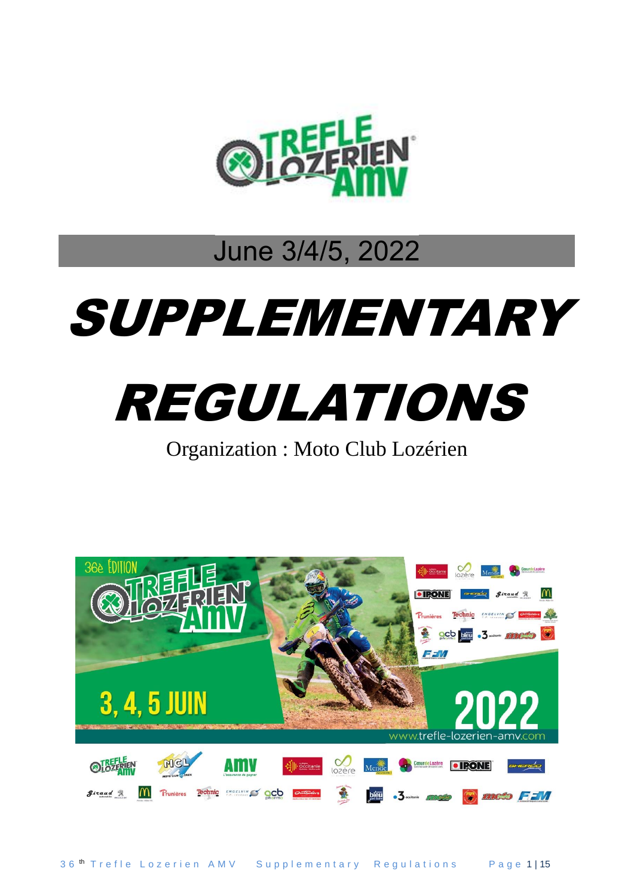

# June 3/4/5, 2022

# SUPPLEMENTARY



Organization : Moto Club Lozérien

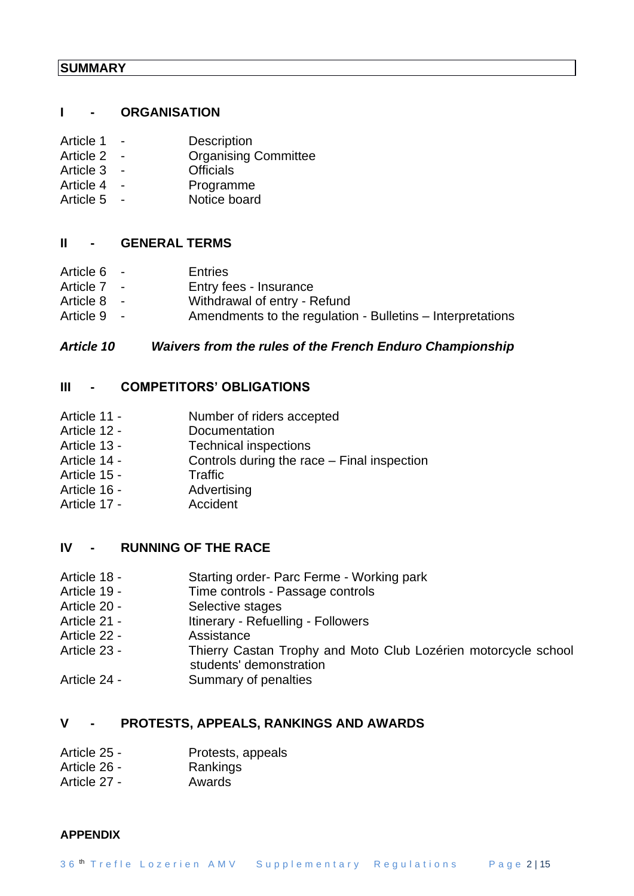#### **I - ORGANISATION**

| Article 1 | <b>Description</b>          |
|-----------|-----------------------------|
| Article 2 | <b>Organising Committee</b> |
| Article 3 | <b>Officials</b>            |
| Article 4 | Programme                   |
| Article 5 | Notice board                |

#### **II - GENERAL TERMS**

| Article 6 - | <b>Entries</b>                                             |
|-------------|------------------------------------------------------------|
| Article 7 - | Entry fees - Insurance                                     |
| Article 8 - | Withdrawal of entry - Refund                               |
| Article 9 - | Amendments to the regulation - Bulletins – Interpretations |
|             |                                                            |

# *Article 10 Waivers from the rules of the French Enduro Championship*

# **III - COMPETITORS' OBLIGATIONS**

- Article 11 Number of riders accepted
- Article 12 Documentation
- Article 13 Technical inspections
- Article 14 Controls during the race Final inspection
- Article 15 Traffic
- Article 16 Advertising
- Article 17 **Accident**

# **IV - RUNNING OF THE RACE**

- Article 18 Starting order- Parc Ferme Working park
- Article 19 Time controls Passage controls
- Article 20 Selective stages
- Article 21 Itinerary Refuelling Followers
- Article 22 Assistance
- Article 23 Thierry Castan Trophy and Moto Club Lozérien motorcycle school students' demonstration
- Article 24 Summary of penalties

# **V - PROTESTS, APPEALS, RANKINGS AND AWARDS**

- Article 25 Protests, appeals
- Article 26 Rankings
- Article 27 Awards

#### **APPENDIX**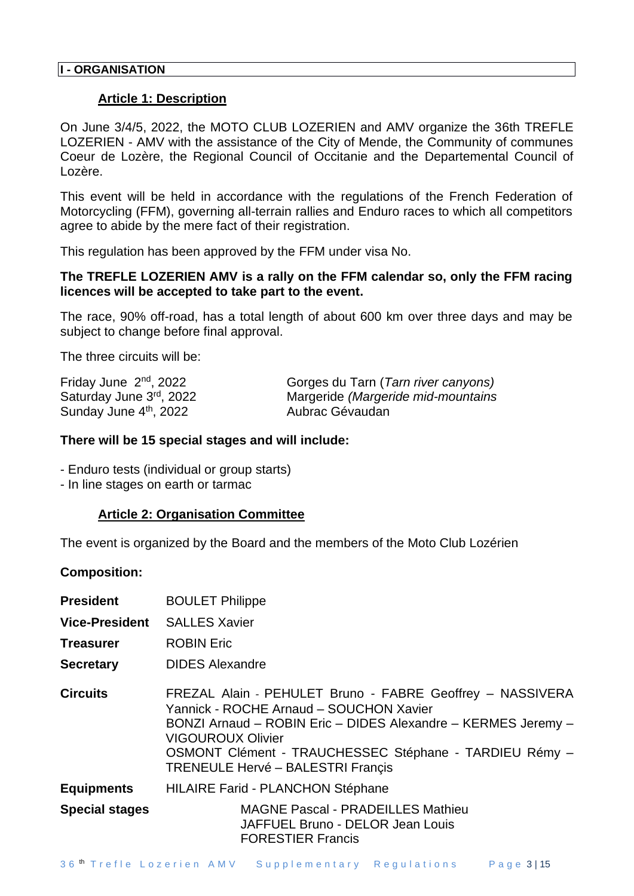#### **Article 1: Description**

On June 3/4/5, 2022, the MOTO CLUB LOZERIEN and AMV organize the 36th TREFLE LOZERIEN - AMV with the assistance of the City of Mende, the Community of communes Coeur de Lozère, the Regional Council of Occitanie and the Departemental Council of Lozère.

This event will be held in accordance with the regulations of the French Federation of Motorcycling (FFM), governing all-terrain rallies and Enduro races to which all competitors agree to abide by the mere fact of their registration.

This regulation has been approved by the FFM under visa No.

#### **The TREFLE LOZERIEN AMV is a rally on the FFM calendar so, only the FFM racing licences will be accepted to take part to the event.**

The race, 90% off-road, has a total length of about 600 km over three days and may be subject to change before final approval.

The three circuits will be:

| Friday June $2nd$ , 2022 | Gorges du Tarn (Tarn river canyons) |
|--------------------------|-------------------------------------|
| Saturday June 3rd, 2022  | Margeride (Margeride mid-mountains  |
| Sunday June 4th, 2022    | Aubrac Gévaudan                     |

#### **There will be 15 special stages and will include:**

- Enduro tests (individual or group starts)
- In line stages on earth or tarmac

#### **Article 2: Organisation Committee**

The event is organized by the Board and the members of the Moto Club Lozérien

#### **Composition:**

| <b>President</b>      | <b>BOULET Philippe</b>                                                                                                                                                                                                                                                                                  |  |  |  |
|-----------------------|---------------------------------------------------------------------------------------------------------------------------------------------------------------------------------------------------------------------------------------------------------------------------------------------------------|--|--|--|
| <b>Vice-President</b> | <b>SALLES Xavier</b>                                                                                                                                                                                                                                                                                    |  |  |  |
| <b>Treasurer</b>      | <b>ROBIN Eric</b>                                                                                                                                                                                                                                                                                       |  |  |  |
| <b>Secretary</b>      | <b>DIDES Alexandre</b>                                                                                                                                                                                                                                                                                  |  |  |  |
| <b>Circuits</b>       | FREZAL Alain - PEHULET Bruno - FABRE Geoffrey - NASSIVERA<br>Yannick - ROCHE Arnaud - SOUCHON Xavier<br>BONZI Arnaud - ROBIN Eric - DIDES Alexandre - KERMES Jeremy -<br><b>VIGOUROUX Olivier</b><br>OSMONT Clément - TRAUCHESSEC Stéphane - TARDIEU Rémy -<br><b>TRENEULE Hervé – BALESTRI Françis</b> |  |  |  |
| <b>Equipments</b>     | <b>HILAIRE Farid - PLANCHON Stéphane</b>                                                                                                                                                                                                                                                                |  |  |  |
| <b>Special stages</b> | <b>MAGNE Pascal - PRADEILLES Mathieu</b><br>JAFFUEL Bruno - DELOR Jean Louis<br><b>FORESTIER Francis</b>                                                                                                                                                                                                |  |  |  |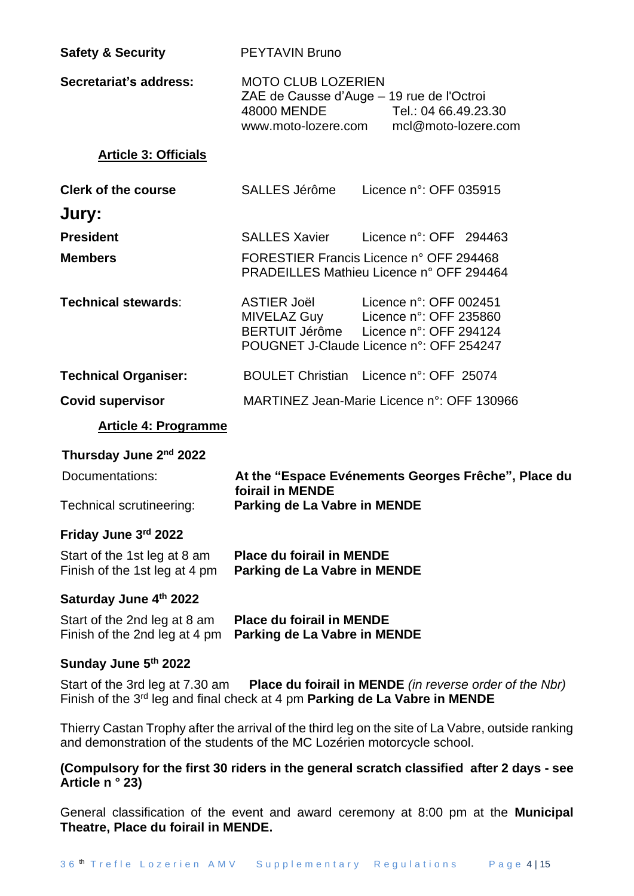| <b>Safety &amp; Security</b>                                  | <b>PEYTAVIN Bruno</b>                                                                                                                                                        |  |  |  |
|---------------------------------------------------------------|------------------------------------------------------------------------------------------------------------------------------------------------------------------------------|--|--|--|
| Secretariat's address:                                        | <b>MOTO CLUB LOZERIEN</b><br>ZAE de Causse d'Auge - 19 rue de l'Octroi<br>48000 MENDE<br>Tel.: 04 66.49.23.30<br>www.moto-lozere.com mcl@moto-lozere.com                     |  |  |  |
| <b>Article 3: Officials</b>                                   |                                                                                                                                                                              |  |  |  |
| <b>Clerk of the course</b>                                    | SALLES Jérôme<br>Licence n°: OFF 035915                                                                                                                                      |  |  |  |
| Jury:                                                         |                                                                                                                                                                              |  |  |  |
| <b>President</b>                                              | <b>SALLES Xavier</b><br>Licence $n^{\circ}$ : OFF 294463                                                                                                                     |  |  |  |
| <b>Members</b>                                                | FORESTIER Francis Licence n° OFF 294468<br>PRADEILLES Mathieu Licence n° OFF 294464                                                                                          |  |  |  |
| <b>Technical stewards:</b>                                    | ASTIER Joël<br>Licence n°: OFF 002451<br>MIVELAZ Guy Licence n°: OFF 235860<br>BERTUIT Jérôme Licence n°: OFF 294124<br>POUGNET J-Claude Licence n°: OFF 254247              |  |  |  |
| <b>Technical Organiser:</b>                                   | BOULET Christian Licence n°: OFF 25074                                                                                                                                       |  |  |  |
| <b>Covid supervisor</b>                                       | MARTINEZ Jean-Marie Licence n°: OFF 130966                                                                                                                                   |  |  |  |
| <b>Article 4: Programme</b>                                   |                                                                                                                                                                              |  |  |  |
| Thursday June 2nd 2022                                        |                                                                                                                                                                              |  |  |  |
| Documentations:                                               | At the "Espace Evénements Georges Frêche", Place du                                                                                                                          |  |  |  |
| Technical scrutineering:                                      | foirail in MENDE<br>Parking de La Vabre in MENDE                                                                                                                             |  |  |  |
| Friday June 3rd 2022                                          |                                                                                                                                                                              |  |  |  |
|                                                               |                                                                                                                                                                              |  |  |  |
| Start of the 1st leg at 8 am<br>Finish of the 1st leg at 4 pm | <b>Place du foirail in MENDE</b><br>Parking de La Vabre in MENDE                                                                                                             |  |  |  |
| Saturday June 4th 2022                                        |                                                                                                                                                                              |  |  |  |
| Start of the 2nd leg at 8 am<br>Finish of the 2nd leg at 4 pm | <b>Place du foirail in MENDE</b><br>Parking de La Vabre in MENDE                                                                                                             |  |  |  |
| Sunday June 5th 2022                                          |                                                                                                                                                                              |  |  |  |
| Start of the 3rd leg at 7.30 am                               | <b>Place du foirail in MENDE</b> (in reverse order of the Nbr)<br>Finish of the $3^{rd}$ leg and final check at 4 pm Parking de La Vabre in MENDE                            |  |  |  |
|                                                               | Thierry Castan Trophy after the arrival of the third leg on the site of La Vabre, outside ranking<br>and demonstration of the students of the MC Lozérien motorcycle school. |  |  |  |

General classification of the event and award ceremony at 8:00 pm at the **Municipal Theatre, Place du foirail in MENDE.**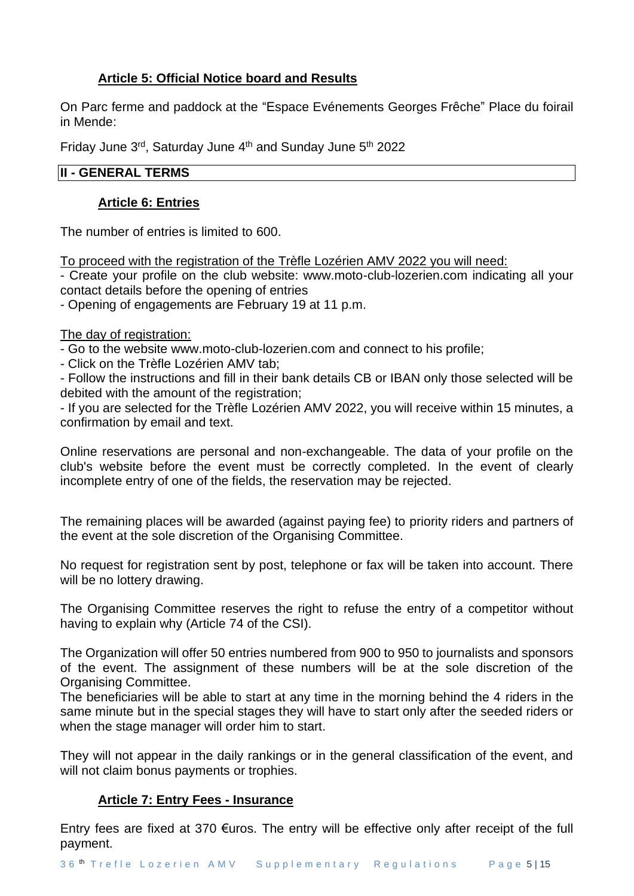# **Article 5: Official Notice board and Results**

On Parc ferme and paddock at the "Espace Evénements Georges Frêche" Place du foirail in Mende:

Friday June 3<sup>rd</sup>, Saturday June 4<sup>th</sup> and Sunday June 5<sup>th</sup> 2022

# **II - GENERAL TERMS**

#### **Article 6: Entries**

The number of entries is limited to 600.

To proceed with the registration of the Trèfle Lozérien AMV 2022 you will need:

- Create your profile on the club website: www.moto-club-lozerien.com indicating all your contact details before the opening of entries

- Opening of engagements are February 19 at 11 p.m.

#### The day of registration:

- Go to the website www.moto-club-lozerien.com and connect to his profile;

- Click on the Trèfle Lozérien AMV tab;

- Follow the instructions and fill in their bank details CB or IBAN only those selected will be debited with the amount of the registration;

- If you are selected for the Trèfle Lozérien AMV 2022, you will receive within 15 minutes, a confirmation by email and text.

Online reservations are personal and non-exchangeable. The data of your profile on the club's website before the event must be correctly completed. In the event of clearly incomplete entry of one of the fields, the reservation may be rejected.

The remaining places will be awarded (against paying fee) to priority riders and partners of the event at the sole discretion of the Organising Committee.

No request for registration sent by post, telephone or fax will be taken into account. There will be no lottery drawing.

The Organising Committee reserves the right to refuse the entry of a competitor without having to explain why (Article 74 of the CSI).

The Organization will offer 50 entries numbered from 900 to 950 to journalists and sponsors of the event. The assignment of these numbers will be at the sole discretion of the Organising Committee.

The beneficiaries will be able to start at any time in the morning behind the 4 riders in the same minute but in the special stages they will have to start only after the seeded riders or when the stage manager will order him to start.

They will not appear in the daily rankings or in the general classification of the event, and will not claim bonus payments or trophies.

# **Article 7: Entry Fees - Insurance**

Entry fees are fixed at 370  $\epsilon$ uros. The entry will be effective only after receipt of the full payment.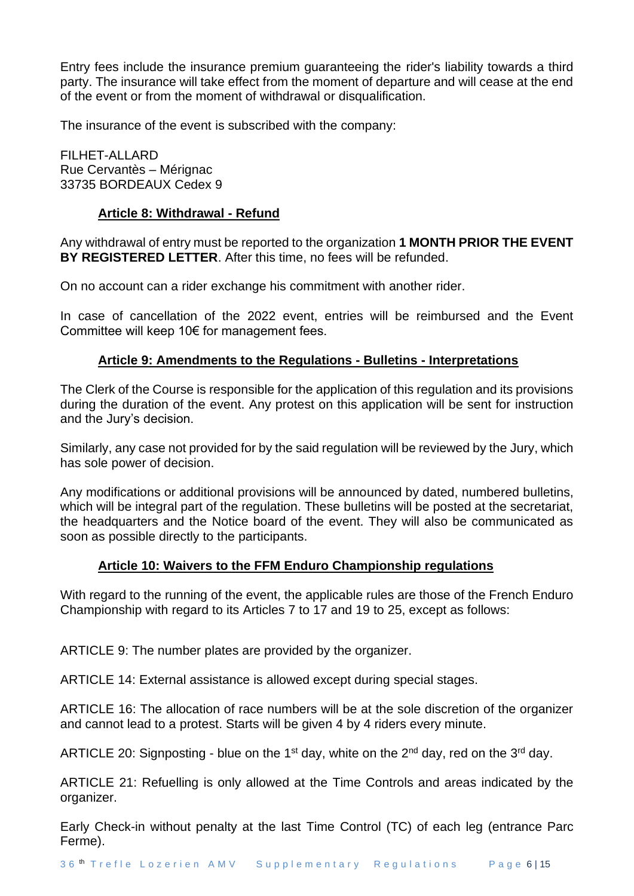Entry fees include the insurance premium guaranteeing the rider's liability towards a third party. The insurance will take effect from the moment of departure and will cease at the end of the event or from the moment of withdrawal or disqualification.

The insurance of the event is subscribed with the company:

FILHET-ALLARD Rue Cervantès – Mérignac 33735 BORDEAUX Cedex 9

# **Article 8: Withdrawal - Refund**

Any withdrawal of entry must be reported to the organization **1 MONTH PRIOR THE EVENT BY REGISTERED LETTER**. After this time, no fees will be refunded.

On no account can a rider exchange his commitment with another rider.

In case of cancellation of the 2022 event, entries will be reimbursed and the Event Committee will keep 10€ for management fees.

#### **Article 9: Amendments to the Regulations - Bulletins - Interpretations**

The Clerk of the Course is responsible for the application of this regulation and its provisions during the duration of the event. Any protest on this application will be sent for instruction and the Jury's decision.

Similarly, any case not provided for by the said regulation will be reviewed by the Jury, which has sole power of decision.

Any modifications or additional provisions will be announced by dated, numbered bulletins, which will be integral part of the regulation. These bulletins will be posted at the secretariat, the headquarters and the Notice board of the event. They will also be communicated as soon as possible directly to the participants.

#### **Article 10: Waivers to the FFM Enduro Championship regulations**

With regard to the running of the event, the applicable rules are those of the French Enduro Championship with regard to its Articles 7 to 17 and 19 to 25, except as follows:

ARTICLE 9: The number plates are provided by the organizer.

ARTICLE 14: External assistance is allowed except during special stages.

ARTICLE 16: The allocation of race numbers will be at the sole discretion of the organizer and cannot lead to a protest. Starts will be given 4 by 4 riders every minute.

ARTICLE 20: Signposting - blue on the 1<sup>st</sup> day, white on the 2<sup>nd</sup> day, red on the 3<sup>rd</sup> day.

ARTICLE 21: Refuelling is only allowed at the Time Controls and areas indicated by the organizer.

Early Check-in without penalty at the last Time Control (TC) of each leg (entrance Parc Ferme).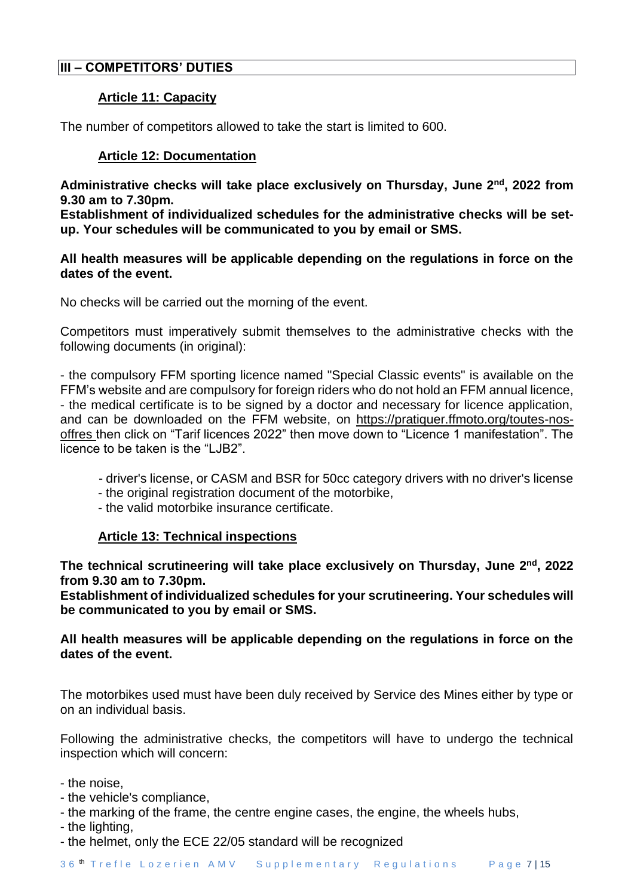# **III – COMPETITORS' DUTIES**

# **Article 11: Capacity**

The number of competitors allowed to take the start is limited to 600.

# **Article 12: Documentation**

Administrative checks will take place exclusively on Thursday, June 2<sup>nd</sup>, 2022 from **9.30 am to 7.30pm.**

**Establishment of individualized schedules for the administrative checks will be setup. Your schedules will be communicated to you by email or SMS.**

#### **All health measures will be applicable depending on the regulations in force on the dates of the event.**

No checks will be carried out the morning of the event.

Competitors must imperatively submit themselves to the administrative checks with the following documents (in original):

- the compulsory FFM sporting licence named "Special Classic events" is available on the FFM's website and are compulsory for foreign riders who do not hold an FFM annual licence, - the medical certificate is to be signed by a doctor and necessary for licence application, and can be downloaded on the FFM website, on [https://pratiquer.ffmoto.org/toutes-nos](https://pratiquer.ffmoto.org/toutes-nos-offres)[offres](https://pratiquer.ffmoto.org/toutes-nos-offres) then click on "Tarif licences 2022" then move down to "Licence 1 manifestation". The licence to be taken is the "LJB2".

- driver's license, or CASM and BSR for 50cc category drivers with no driver's license
- the original registration document of the motorbike,
- the valid motorbike insurance certificate.

# **Article 13: Technical inspections**

The technical scrutineering will take place exclusively on Thursday, June 2<sup>nd</sup>, 2022 **from 9.30 am to 7.30pm.** 

**Establishment of individualized schedules for your scrutineering. Your schedules will be communicated to you by email or SMS.**

# **All health measures will be applicable depending on the regulations in force on the dates of the event.**

The motorbikes used must have been duly received by Service des Mines either by type or on an individual basis.

Following the administrative checks, the competitors will have to undergo the technical inspection which will concern:

- the noise,
- the vehicle's compliance,
- the marking of the frame, the centre engine cases, the engine, the wheels hubs,
- the lighting,
- the helmet, only the ECE 22/05 standard will be recognized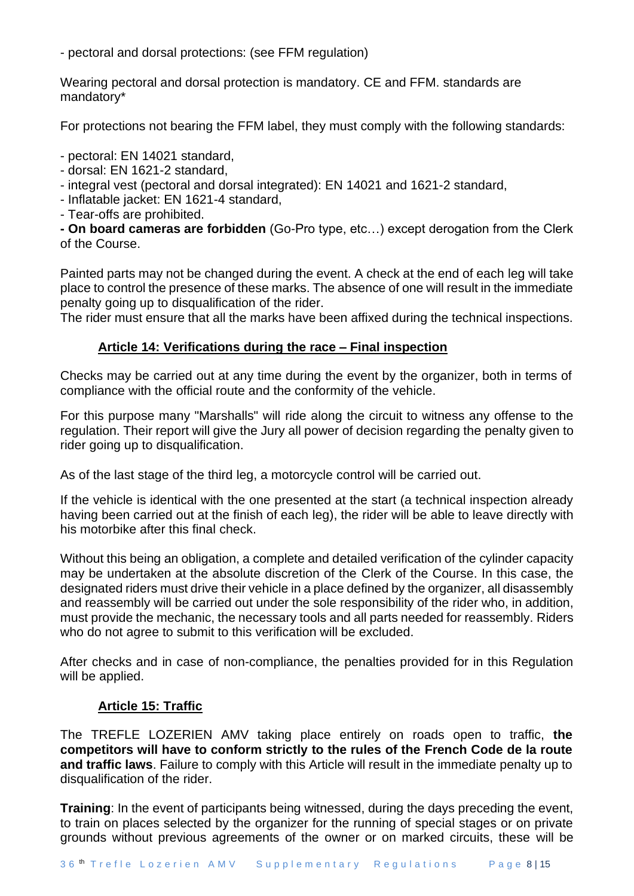- pectoral and dorsal protections: (see FFM regulation)

Wearing pectoral and dorsal protection is mandatory. CE and FFM. standards are mandatory\*

For protections not bearing the FFM label, they must comply with the following standards:

- pectoral: EN 14021 standard,

- dorsal: EN 1621-2 standard,

- integral vest (pectoral and dorsal integrated): EN 14021 and 1621-2 standard,

- Inflatable jacket: EN 1621-4 standard,

- Tear-offs are prohibited.

**- On board cameras are forbidden** (Go-Pro type, etc…) except derogation from the Clerk of the Course.

Painted parts may not be changed during the event. A check at the end of each leg will take place to control the presence of these marks. The absence of one will result in the immediate penalty going up to disqualification of the rider.

The rider must ensure that all the marks have been affixed during the technical inspections.

# **Article 14: Verifications during the race – Final inspection**

Checks may be carried out at any time during the event by the organizer, both in terms of compliance with the official route and the conformity of the vehicle.

For this purpose many "Marshalls" will ride along the circuit to witness any offense to the regulation. Their report will give the Jury all power of decision regarding the penalty given to rider going up to disqualification.

As of the last stage of the third leg, a motorcycle control will be carried out.

If the vehicle is identical with the one presented at the start (a technical inspection already having been carried out at the finish of each leg), the rider will be able to leave directly with his motorbike after this final check.

Without this being an obligation, a complete and detailed verification of the cylinder capacity may be undertaken at the absolute discretion of the Clerk of the Course. In this case, the designated riders must drive their vehicle in a place defined by the organizer, all disassembly and reassembly will be carried out under the sole responsibility of the rider who, in addition, must provide the mechanic, the necessary tools and all parts needed for reassembly. Riders who do not agree to submit to this verification will be excluded.

After checks and in case of non-compliance, the penalties provided for in this Regulation will be applied.

#### **Article 15: Traffic**

The TREFLE LOZERIEN AMV taking place entirely on roads open to traffic, **the competitors will have to conform strictly to the rules of the French Code de la route and traffic laws**. Failure to comply with this Article will result in the immediate penalty up to disqualification of the rider.

**Training**: In the event of participants being witnessed, during the days preceding the event, to train on places selected by the organizer for the running of special stages or on private grounds without previous agreements of the owner or on marked circuits, these will be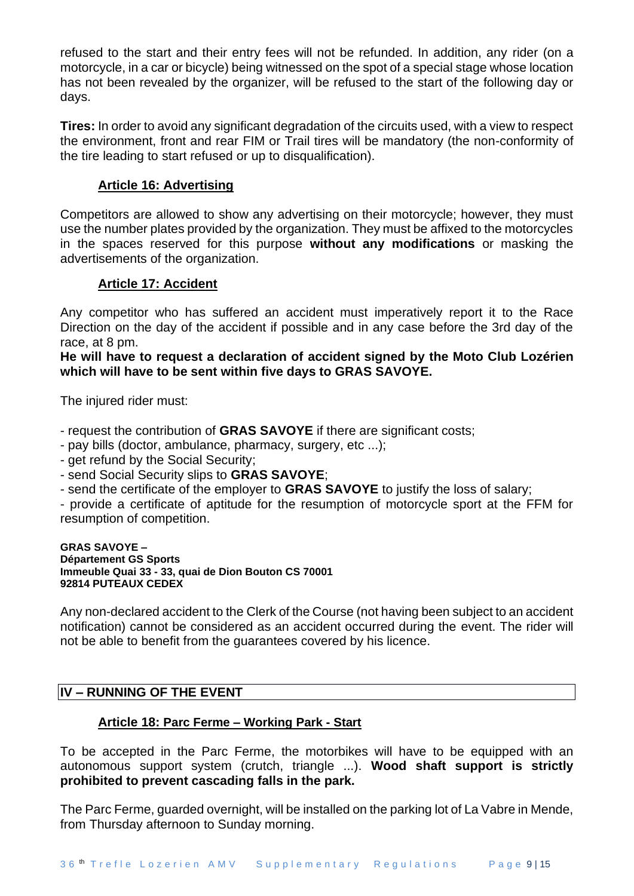refused to the start and their entry fees will not be refunded. In addition, any rider (on a motorcycle, in a car or bicycle) being witnessed on the spot of a special stage whose location has not been revealed by the organizer, will be refused to the start of the following day or days.

**Tires:** In order to avoid any significant degradation of the circuits used, with a view to respect the environment, front and rear FIM or Trail tires will be mandatory (the non-conformity of the tire leading to start refused or up to disqualification).

# **Article 16: Advertising**

Competitors are allowed to show any advertising on their motorcycle; however, they must use the number plates provided by the organization. They must be affixed to the motorcycles in the spaces reserved for this purpose **without any modifications** or masking the advertisements of the organization.

#### **Article 17: Accident**

Any competitor who has suffered an accident must imperatively report it to the Race Direction on the day of the accident if possible and in any case before the 3rd day of the race, at 8 pm.

**He will have to request a declaration of accident signed by the Moto Club Lozérien which will have to be sent within five days to GRAS SAVOYE.**

The injured rider must:

- request the contribution of **GRAS SAVOYE** if there are significant costs;

- pay bills (doctor, ambulance, pharmacy, surgery, etc ...);

- get refund by the Social Security;

- send Social Security slips to **GRAS SAVOYE**;

- send the certificate of the employer to **GRAS SAVOYE** to justify the loss of salary;

- provide a certificate of aptitude for the resumption of motorcycle sport at the FFM for resumption of competition.

#### **GRAS SAVOYE – Département GS Sports Immeuble Quai 33 - 33, quai de Dion Bouton CS 70001 92814 PUTEAUX CEDEX**

Any non-declared accident to the Clerk of the Course (not having been subject to an accident notification) cannot be considered as an accident occurred during the event. The rider will not be able to benefit from the guarantees covered by his licence.

# **IV – RUNNING OF THE EVENT**

#### **Article 18: Parc Ferme – Working Park - Start**

To be accepted in the Parc Ferme, the motorbikes will have to be equipped with an autonomous support system (crutch, triangle ...). **Wood shaft support is strictly prohibited to prevent cascading falls in the park.**

The Parc Ferme, guarded overnight, will be installed on the parking lot of La Vabre in Mende, from Thursday afternoon to Sunday morning.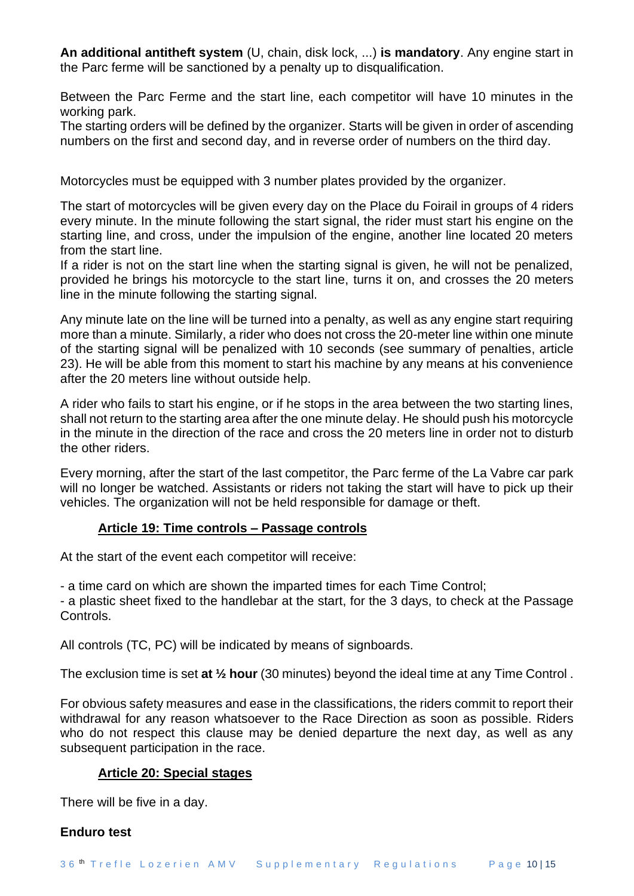**An additional antitheft system** (U, chain, disk lock, ...) **is mandatory**. Any engine start in the Parc ferme will be sanctioned by a penalty up to disqualification.

Between the Parc Ferme and the start line, each competitor will have 10 minutes in the working park.

The starting orders will be defined by the organizer. Starts will be given in order of ascending numbers on the first and second day, and in reverse order of numbers on the third day.

Motorcycles must be equipped with 3 number plates provided by the organizer.

The start of motorcycles will be given every day on the Place du Foirail in groups of 4 riders every minute. In the minute following the start signal, the rider must start his engine on the starting line, and cross, under the impulsion of the engine, another line located 20 meters from the start line.

If a rider is not on the start line when the starting signal is given, he will not be penalized, provided he brings his motorcycle to the start line, turns it on, and crosses the 20 meters line in the minute following the starting signal.

Any minute late on the line will be turned into a penalty, as well as any engine start requiring more than a minute. Similarly, a rider who does not cross the 20-meter line within one minute of the starting signal will be penalized with 10 seconds (see summary of penalties, article 23). He will be able from this moment to start his machine by any means at his convenience after the 20 meters line without outside help.

A rider who fails to start his engine, or if he stops in the area between the two starting lines, shall not return to the starting area after the one minute delay. He should push his motorcycle in the minute in the direction of the race and cross the 20 meters line in order not to disturb the other riders.

Every morning, after the start of the last competitor, the Parc ferme of the La Vabre car park will no longer be watched. Assistants or riders not taking the start will have to pick up their vehicles. The organization will not be held responsible for damage or theft.

# **Article 19: Time controls – Passage controls**

At the start of the event each competitor will receive:

- a time card on which are shown the imparted times for each Time Control;

- a plastic sheet fixed to the handlebar at the start, for the 3 days, to check at the Passage Controls.

All controls (TC, PC) will be indicated by means of signboards.

The exclusion time is set **at ½ hour** (30 minutes) beyond the ideal time at any Time Control .

For obvious safety measures and ease in the classifications, the riders commit to report their withdrawal for any reason whatsoever to the Race Direction as soon as possible. Riders who do not respect this clause may be denied departure the next day, as well as any subsequent participation in the race.

# **Article 20: Special stages**

There will be five in a day.

# **Enduro test**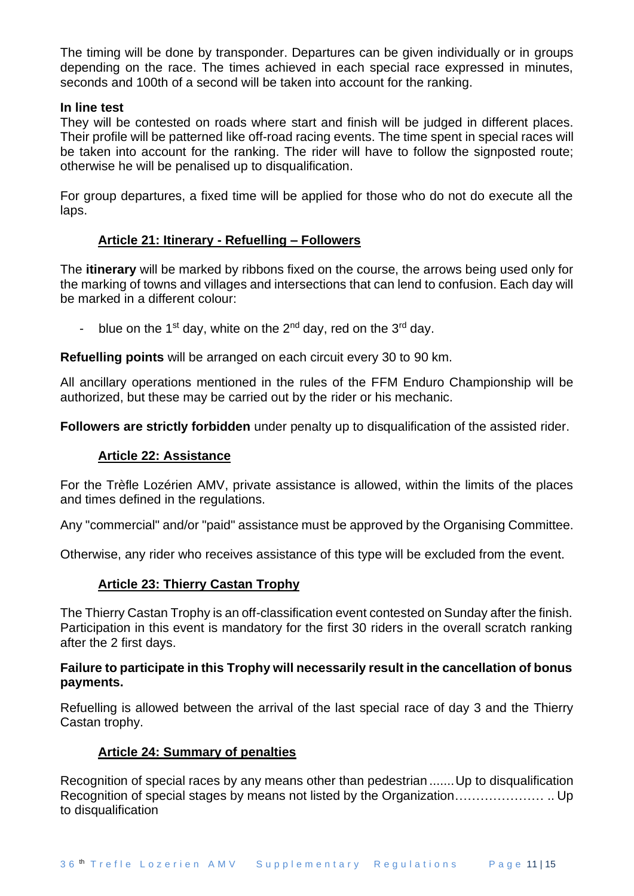The timing will be done by transponder. Departures can be given individually or in groups depending on the race. The times achieved in each special race expressed in minutes, seconds and 100th of a second will be taken into account for the ranking.

#### **In line test**

They will be contested on roads where start and finish will be judged in different places. Their profile will be patterned like off-road racing events. The time spent in special races will be taken into account for the ranking. The rider will have to follow the signposted route; otherwise he will be penalised up to disqualification.

For group departures, a fixed time will be applied for those who do not do execute all the laps.

# **Article 21: Itinerary - Refuelling – Followers**

The **itinerary** will be marked by ribbons fixed on the course, the arrows being used only for the marking of towns and villages and intersections that can lend to confusion. Each day will be marked in a different colour:

blue on the 1<sup>st</sup> day, white on the 2<sup>nd</sup> day, red on the 3<sup>rd</sup> day.

**Refuelling points** will be arranged on each circuit every 30 to 90 km.

All ancillary operations mentioned in the rules of the FFM Enduro Championship will be authorized, but these may be carried out by the rider or his mechanic.

**Followers are strictly forbidden** under penalty up to disqualification of the assisted rider.

# **Article 22: Assistance**

For the Trèfle Lozérien AMV, private assistance is allowed, within the limits of the places and times defined in the regulations.

Any "commercial" and/or "paid" assistance must be approved by the Organising Committee.

Otherwise, any rider who receives assistance of this type will be excluded from the event.

# **Article 23: Thierry Castan Trophy**

The Thierry Castan Trophy is an off-classification event contested on Sunday after the finish. Participation in this event is mandatory for the first 30 riders in the overall scratch ranking after the 2 first days.

#### **Failure to participate in this Trophy will necessarily result in the cancellation of bonus payments.**

Refuelling is allowed between the arrival of the last special race of day 3 and the Thierry Castan trophy.

#### **Article 24: Summary of penalties**

Recognition of special races by any means other than pedestrian ....... Up to disqualification Recognition of special stages by means not listed by the Organization………………… .. Up to disqualification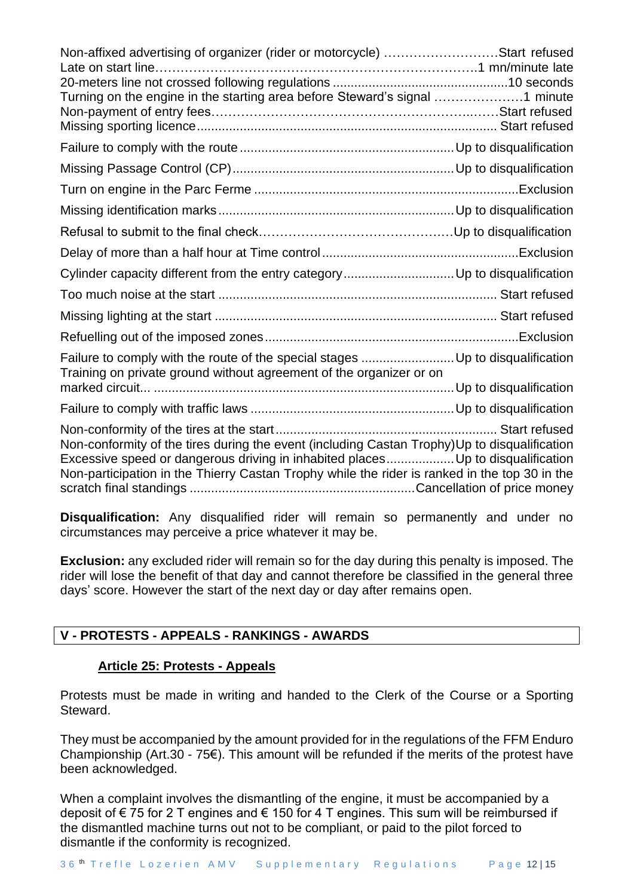| Non-affixed advertising of organizer (rider or motorcycle) Start refused<br>Turning on the engine in the starting area before Steward's signal 1 minute                                                                                                                          |  |
|----------------------------------------------------------------------------------------------------------------------------------------------------------------------------------------------------------------------------------------------------------------------------------|--|
|                                                                                                                                                                                                                                                                                  |  |
|                                                                                                                                                                                                                                                                                  |  |
|                                                                                                                                                                                                                                                                                  |  |
|                                                                                                                                                                                                                                                                                  |  |
|                                                                                                                                                                                                                                                                                  |  |
|                                                                                                                                                                                                                                                                                  |  |
|                                                                                                                                                                                                                                                                                  |  |
|                                                                                                                                                                                                                                                                                  |  |
|                                                                                                                                                                                                                                                                                  |  |
|                                                                                                                                                                                                                                                                                  |  |
| Failure to comply with the route of the special stages Up to disqualification<br>Training on private ground without agreement of the organizer or on                                                                                                                             |  |
|                                                                                                                                                                                                                                                                                  |  |
|                                                                                                                                                                                                                                                                                  |  |
| Non-conformity of the tires during the event (including Castan Trophy)Up to disqualification<br>Excessive speed or dangerous driving in inhabited places Up to disqualification<br>Non-participation in the Thierry Castan Trophy while the rider is ranked in the top 30 in the |  |

**Disqualification:** Any disqualified rider will remain so permanently and under no circumstances may perceive a price whatever it may be.

**Exclusion:** any excluded rider will remain so for the day during this penalty is imposed. The rider will lose the benefit of that day and cannot therefore be classified in the general three days' score. However the start of the next day or day after remains open.

# **V - PROTESTS - APPEALS - RANKINGS - AWARDS**

# **Article 25: Protests - Appeals**

Protests must be made in writing and handed to the Clerk of the Course or a Sporting Steward.

They must be accompanied by the amount provided for in the regulations of the FFM Enduro Championship (Art.30 - 75 $\epsilon$ ). This amount will be refunded if the merits of the protest have been acknowledged.

When a complaint involves the dismantling of the engine, it must be accompanied by a deposit of €75 for 2 T engines and €150 for 4 T engines. This sum will be reimbursed if the dismantled machine turns out not to be compliant, or paid to the pilot forced to dismantle if the conformity is recognized.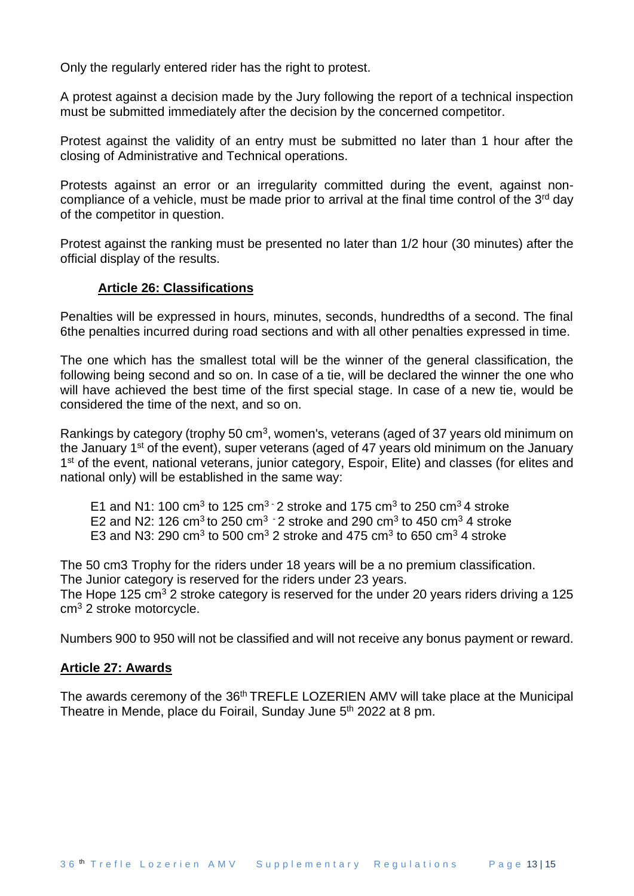Only the regularly entered rider has the right to protest.

A protest against a decision made by the Jury following the report of a technical inspection must be submitted immediately after the decision by the concerned competitor.

Protest against the validity of an entry must be submitted no later than 1 hour after the closing of Administrative and Technical operations.

Protests against an error or an irregularity committed during the event, against noncompliance of a vehicle, must be made prior to arrival at the final time control of the  $3<sup>rd</sup>$  day of the competitor in question.

Protest against the ranking must be presented no later than 1/2 hour (30 minutes) after the official display of the results.

#### **Article 26: Classifications**

Penalties will be expressed in hours, minutes, seconds, hundredths of a second. The final 6the penalties incurred during road sections and with all other penalties expressed in time.

The one which has the smallest total will be the winner of the general classification, the following being second and so on. In case of a tie, will be declared the winner the one who will have achieved the best time of the first special stage. In case of a new tie, would be considered the time of the next, and so on.

Rankings by category (trophy 50 cm<sup>3</sup>, women's, veterans (aged of 37 years old minimum on the January 1<sup>st</sup> of the event), super veterans (aged of 47 years old minimum on the January 1<sup>st</sup> of the event, national veterans, junior category, Espoir, Elite) and classes (for elites and national only) will be established in the same way:

E1 and N1: 100 cm<sup>3</sup> to 125 cm<sup>3 -</sup> 2 stroke and 175 cm<sup>3</sup> to 250 cm<sup>3</sup> 4 stroke E2 and N2: 126 cm<sup>3</sup> to 250 cm<sup>3 -</sup> 2 stroke and 290 cm<sup>3</sup> to 450 cm<sup>3</sup> 4 stroke E3 and N3: 290 cm<sup>3</sup> to 500 cm<sup>3</sup> 2 stroke and 475 cm<sup>3</sup> to 650 cm<sup>3</sup> 4 stroke

The 50 cm3 Trophy for the riders under 18 years will be a no premium classification. The Junior category is reserved for the riders under 23 years.

The Hope 125  $\text{cm}^3$  2 stroke category is reserved for the under 20 years riders driving a 125 cm<sup>3</sup> 2 stroke motorcycle.

Numbers 900 to 950 will not be classified and will not receive any bonus payment or reward.

#### **Article 27: Awards**

The awards ceremony of the 36<sup>th</sup> TREFLE LOZERIEN AMV will take place at the Municipal Theatre in Mende, place du Foirail, Sunday June 5<sup>th</sup> 2022 at 8 pm.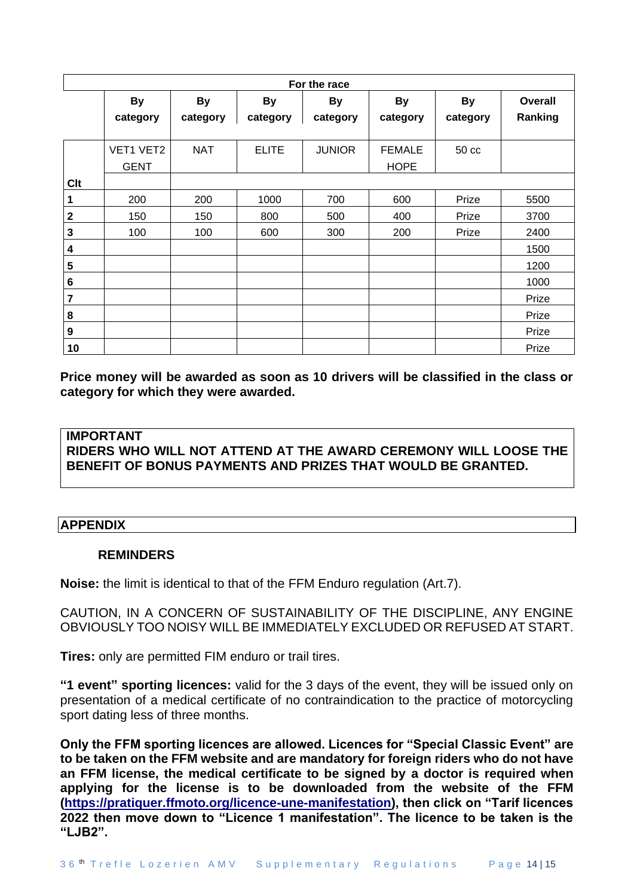| For the race |             |            |              |               |               |           |         |
|--------------|-------------|------------|--------------|---------------|---------------|-----------|---------|
|              | <b>By</b>   | <b>By</b>  | <b>By</b>    | <b>By</b>     | <b>By</b>     | <b>By</b> | Overall |
|              | category    | category   | category     | category      | category      | category  | Ranking |
|              |             |            |              |               |               |           |         |
|              | VET1 VET2   | <b>NAT</b> | <b>ELITE</b> | <b>JUNIOR</b> | <b>FEMALE</b> | 50 cc     |         |
|              | <b>GENT</b> |            |              |               | <b>HOPE</b>   |           |         |
| <b>Clt</b>   |             |            |              |               |               |           |         |
| 1            | 200         | 200        | 1000         | 700           | 600           | Prize     | 5500    |
| $\mathbf 2$  | 150         | 150        | 800          | 500           | 400           | Prize     | 3700    |
| 3            | 100         | 100        | 600          | 300           | 200           | Prize     | 2400    |
| 4            |             |            |              |               |               |           | 1500    |
| 5            |             |            |              |               |               |           | 1200    |
| 6            |             |            |              |               |               |           | 1000    |
| 7            |             |            |              |               |               |           | Prize   |
| 8            |             |            |              |               |               |           | Prize   |
| 9            |             |            |              |               |               |           | Prize   |
| 10           |             |            |              |               |               |           | Prize   |

**Price money will be awarded as soon as 10 drivers will be classified in the class or category for which they were awarded.**

# **IMPORTANT RIDERS WHO WILL NOT ATTEND AT THE AWARD CEREMONY WILL LOOSE THE BENEFIT OF BONUS PAYMENTS AND PRIZES THAT WOULD BE GRANTED.**

# **APPENDIX**

# **REMINDERS**

**Noise:** the limit is identical to that of the FFM Enduro regulation (Art.7).

CAUTION, IN A CONCERN OF SUSTAINABILITY OF THE DISCIPLINE, ANY ENGINE OBVIOUSLY TOO NOISY WILL BE IMMEDIATELY EXCLUDED OR REFUSED AT START.

**Tires:** only are permitted FIM enduro or trail tires.

**"1 event" sporting licences:** valid for the 3 days of the event, they will be issued only on presentation of a medical certificate of no contraindication to the practice of motorcycling sport dating less of three months.

**Only the FFM sporting licences are allowed. Licences for "Special Classic Event" are to be taken on the FFM website and are mandatory for foreign riders who do not have an FFM license, the medical certificate to be signed by a doctor is required when applying for the license is to be downloaded from the website of the FFM [\(https://pratiquer.ffmoto.org/licence-une-manifestation\)](https://pratiquer.ffmoto.org/licence-une-manifestation), then click on "Tarif licences 2022 then move down to "Licence 1 manifestation". The licence to be taken is the "LJB2".**